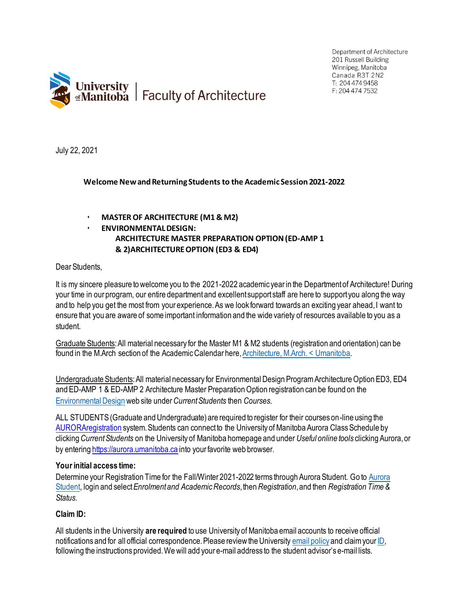



July 22, 2021

### **Welcome NewandReturning Students to the Academic Session 2021-2022**

- **MASTER OF ARCHITECTURE (M1 & M2)**
- **ENVIRONMENTALDESIGN: ARCHITECTURE MASTER PREPARATION OPTION (ED-AMP 1 & 2)ARCHITECTUREOPTION (ED3 & ED4)**

### Dear Students,

It is my sincere pleasure to welcome you to the 2021-2022 academic year in the Department of Architecture! During your time in our program, our entire department and excellent support staff are here to support you along the way and to help you get the most from your experience. As we look forward towards an exciting year ahead, I want to ensure that you are aware of some important information and the wide variety of resources available to you as a student.

Graduate Students:All material necessary for the Master M1 & M2 students (registration and orientation) can be found in the M.Arch section of the Academic Calendar here, Architecture, M.Arch. < Umanitoba.

Undergraduate Students: All material necessary for Environmental Design Program Architecture Option ED3, ED4 and ED-AMP 1 & ED-AMP 2 Architecture Master Preparation Option registration can be found on the [Environmental Design](https://umanitoba.ca/architecture/environmental-design) web site under *Current Students* then *Courses*.

ALL STUDENTS (Graduate and Undergraduate) are required to register for their courses on-line using the [AURORAregistration](http://umanitoba.ca/registrar/registration) system. Students can connect to the University of Manitoba Aurora Class Schedule by clicking *CurrentStudents* on the University of Manitoba homepage and under *Useful online tools* clicking Aurora, or by entering [https://aurora.umanitoba.ca](https://aurora.umanitoba.ca/) into your favorite web browser.

#### **Yourinitial access time:**

Determine your Registration Time for the Fall/Winter 2021-2022 terms through [Aurora](https://aurora.umanitoba.ca/banprod/twbkwbis.P_GenMenu?name=homepage) Student. Go to Aurora [Student,](https://aurora.umanitoba.ca/banprod/twbkwbis.P_GenMenu?name=homepage) login and select*Enrolmentand AcademicRecords*,then*Registration*,and then *Registration Time & Status*.

# **Claim ID:**

All students in the University **are required** to use University of Manitoba email accounts to receive official notifications and for all official correspondence. Please review the Universit[y email policy](https://umanitoba.ca/registrar/student-email-policy) and claim your ID, following the instructions provided. We will add your e-mail address to the student advisor's e-mail lists.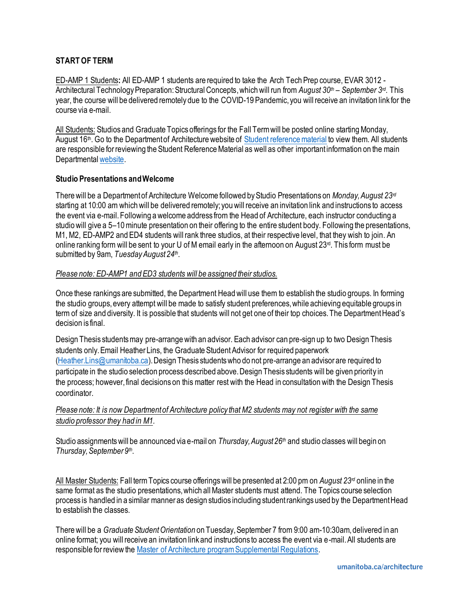# **START OF TERM**

ED-AMP 1 Students**:** All ED-AMP 1 students are required to take the Arch Tech Prep course, EVAR 3012 - Architectural Technology Preparation: Structural Concepts,which will run from *August 30th – September 3rd*. This year, the course will be delivered remotely due to the COVID-19 Pandemic, you will receive an invitation link for the course via e-mail.

All Students: Studios and Graduate Topics offerings for the Fall Term will be posted online starting Monday, August 16<sup>th</sup>. Go to the Department of Architecture website o[f Student reference material](https://umanitoba.ca/architecture/student-reference-material) to view them. All students are responsible for reviewing the Student Reference Material as well as other importantinformation on the main Departmental [website.](https://umanitoba.ca/architecture/department-architecture)

### **Studio Presentations and Welcome**

There will be a Department of Architecture Welcome followed by Studio Presentations on *Monday, August 23rd* starting at 10:00 am which will be delivered remotely; you will receive an invitation link and instructions to access the event via e-mail.Following a welcome address from the Head of Architecture, each instructor conducting a studio will give a 5–10 minute presentation on their offering to the entire student body. Following the presentations, M1, M2, ED-AMP2 and ED4 students will rank three studios, at their respective level, that they wish to join. An online ranking form will be sent to your U of M email early in the afternoon on August  $23<sup>d</sup>$ . This form must be submitted by 9am, *Tuesday August 24th* .

### *Please note: ED-AMP1 and ED3 students will be assigned their studios.*

Once these rankings are submitted, the Department Head will use them to establish the studio groups. In forming the studio groups, every attempt will be made to satisfy student preferences, while achieving equitable groups in term of size and diversity. It is possible that students will not get one of their top choices. The Department Head's decision is final.

Design Thesis students may pre-arrange with an advisor. Each advisor can pre-sign up to two Design Thesis students only.Email Heather Lins, the Graduate Student Advisor for required paperwork [\(Heather.Lins@umanitoba.ca](mailto:Heather.Lins@umanitoba.ca)). Design Thesis students who do not pre-arrange an advisor are required to participate in the studio selection process described above. Design Thesis students will be given priority in the process; however, final decisions on this matter rest with the Head in consultation with the Design Thesis coordinator.

# *Please note: It is now Department of Architecture policy that M2 students may not register with the same studio professor they had in M1.*

Studio assignments will be announced via e-mail on *Thursday, August 26th* and studio classes will begin on *Thursday, September 9th* .

All Master Students: Fall term Topics course offeringswill be presented at 2:00 pm on *August 23rd* online in the same format as the studio presentations, which all Master students must attend. The Topics course selection process is handled in a similar manner as design studios including student rankings used by the Department Head to establish the classes.

There will be a *Graduate Student Orientation* on Tuesday, September 7 from 9:00 am-10:30am, delivered in an online format; you will receive an invitation link and instructions to access the event via e-mail. All students are responsible for review the [Master of Architecture program Supplemental Regulations](https://umanitoba.ca/graduate-studies/supplementary-regulations).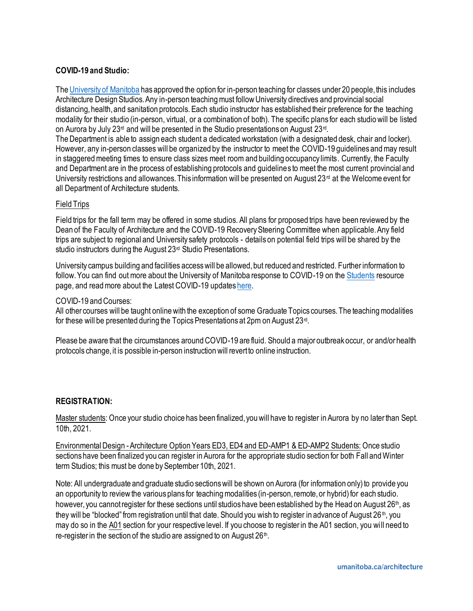# **COVID-19 and Studio:**

Th[e University of Manitoba](https://umanitoba.ca/coronavirus/students) has approved the option for in-person teaching for classes under 20 people, this includes Architecture Design Studios. Any in-person teaching must follow University directives and provincial social distancing, health, and sanitation protocols. Each studio instructor has established their preference for the teaching modality for their studio (in-person, virtual, or a combination of both). The specific plans for each studio will be listed on Aurora by July 23<sup>rd</sup> and will be presented in the Studio presentations on August 23<sup>rd</sup>.

The Department is able to assign each student a dedicated workstation (with a designated desk, chair and locker). However, any in-person classes will be organized by the instructor to meet the COVID-19 guidelines and may result in staggered meeting times to ensure class sizes meet room and building occupancy limits. Currently, the Faculty and Department are in the process of establishing protocols and guidelines to meet the most current provincial and University restrictions and allowances. This information will be presented on August  $23<sup>rd</sup>$  at the Welcome event for all Department of Architecture students.

# Field Trips

Field trips for the fall term may be offered in some studios. All plans for proposed trips have been reviewed by the Dean of the Faculty of Architecture and the COVID-19 Recovery Steering Committee when applicable. Any field trips are subject to regional and University safety protocols - details on potential field trips will be shared by the studio instructors during the August 23<sup>rd</sup> Studio Presentations.

University campus building and facilities accesswill be allowed, but reduced and restricted. Further information to follow. You can find out more about the University of Manitoba response to COVID-19 on th[e Students](https://umanitoba.ca/coronavirus/students#fall-term-2021) resource page, and read more about the Latest COVID-19 update[s here.](https://umanitoba.ca/coronavirus/latest-updates-and-safety#latest-covid-19-updates)

### COVID-19 and Courses:

All other courses will be taught online with the exception of some Graduate Topics courses. The teaching modalities for these will be presented during the Topics Presentations at 2pm on August 23<sup>rd</sup>.

Please be aware that the circumstances around COVID-19 are fluid. Should a major outbreak occur, or and/or health protocols change, it is possible in-person instruction will revert to online instruction.

# **REGISTRATION:**

Master students: Once your studio choice has been finalized, you will have to register in Aurora by no later than Sept. 10th, 2021.

Environmental Design -Architecture Option Years ED3, ED4 and ED-AMP1 & ED-AMP2 Students: Once studio sections have been finalized you can register in Aurora for the appropriate studio section for both Fall andWinter term Studios; this must be done by September 10th, 2021.

Note: All undergraduate and graduate studio sections will be shown on Aurora (for information only) to provide you an opportunity to review the various plans for teaching modalities (in-person, remote, or hybrid) for each studio. however, you cannot register for these sections until studios have been established by the Head on August 26<sup>th</sup>, as they will be "blocked" from registration until that date. Should you wish to register in advance of August 26<sup>th</sup>, you may do so in the A01 section for your respective level. If you choose to register in the A01 section, you will need to re-register in the section of the studio are assigned to on August 26<sup>th</sup>.